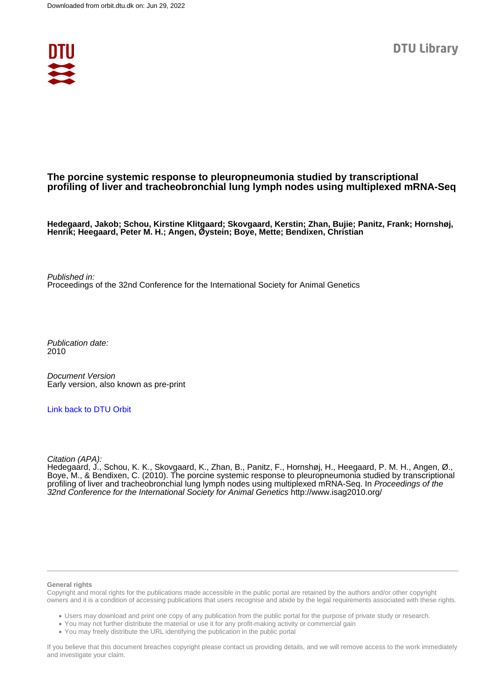

## **The porcine systemic response to pleuropneumonia studied by transcriptional profiling of liver and tracheobronchial lung lymph nodes using multiplexed mRNA-Seq**

**Hedegaard, Jakob; Schou, Kirstine Klitgaard; Skovgaard, Kerstin; Zhan, Bujie; Panitz, Frank; Hornshøj, Henrik; Heegaard, Peter M. H.; Angen, Øystein; Boye, Mette; Bendixen, Christian**

Published in: Proceedings of the 32nd Conference for the International Society for Animal Genetics

Publication date: 2010

Document Version Early version, also known as pre-print

[Link back to DTU Orbit](https://orbit.dtu.dk/en/publications/f2092a4a-3243-4665-860f-f8dd654d4ba5)

Citation (APA):

Hedegaard, J., Schou, K. K., Skovgaard, K., Zhan, B., Panitz, F., Hornshøj, H., Heegaard, P. M. H., Angen, Ø., Boye, M., & Bendixen, C. (2010). The porcine systemic response to pleuropneumonia studied by transcriptional profiling of liver and tracheobronchial lung lymph nodes using multiplexed mRNA-Seq. In Proceedings of the 32nd Conference for the International Society for Animal Genetics <http://www.isag2010.org/>

## **General rights**

Copyright and moral rights for the publications made accessible in the public portal are retained by the authors and/or other copyright owners and it is a condition of accessing publications that users recognise and abide by the legal requirements associated with these rights.

Users may download and print one copy of any publication from the public portal for the purpose of private study or research.

- You may not further distribute the material or use it for any profit-making activity or commercial gain
- You may freely distribute the URL identifying the publication in the public portal

If you believe that this document breaches copyright please contact us providing details, and we will remove access to the work immediately and investigate your claim.